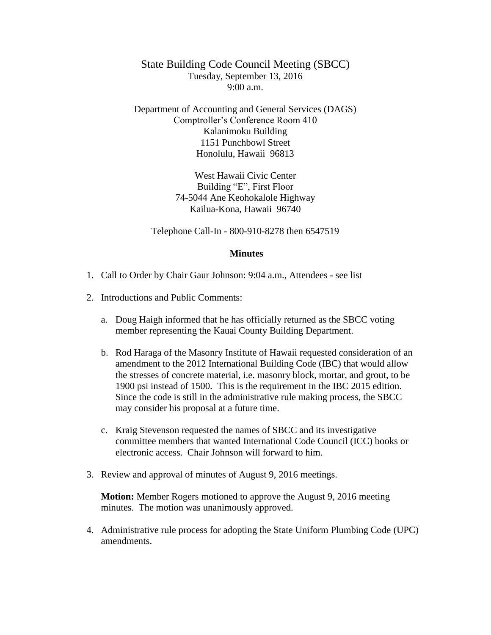State Building Code Council Meeting (SBCC) Tuesday, September 13, 2016  $9:00 a.m.$ 

Department of Accounting and General Services (DAGS) Comptroller's Conference Room 410 Kalanimoku Building 1151 Punchbowl Street Honolulu, Hawaii 96813

> West Hawaii Civic Center Building "E", First Floor 74-5044 Ane Keohokalole Highway Kailua-Kona, Hawaii 96740

Telephone Call-In - 800-910-8278 then 6547519

## **Minutes**

- 1. Call to Order by Chair Gaur Johnson: 9:04 a.m., Attendees see list
- 2. Introductions and Public Comments:
	- a. Doug Haigh informed that he has officially returned as the SBCC voting member representing the Kauai County Building Department.
	- b. Rod Haraga of the Masonry Institute of Hawaii requested consideration of an amendment to the 2012 International Building Code (IBC) that would allow the stresses of concrete material, i.e. masonry block, mortar, and grout, to be 1900 psi instead of 1500. This is the requirement in the IBC 2015 edition. Since the code is still in the administrative rule making process, the SBCC may consider his proposal at a future time.
	- c. Kraig Stevenson requested the names of SBCC and its investigative committee members that wanted International Code Council (ICC) books or electronic access. Chair Johnson will forward to him.
- 3. Review and approval of minutes of August 9, 2016 meetings.

**Motion:** Member Rogers motioned to approve the August 9, 2016 meeting minutes. The motion was unanimously approved.

4. Administrative rule process for adopting the State Uniform Plumbing Code (UPC) amendments.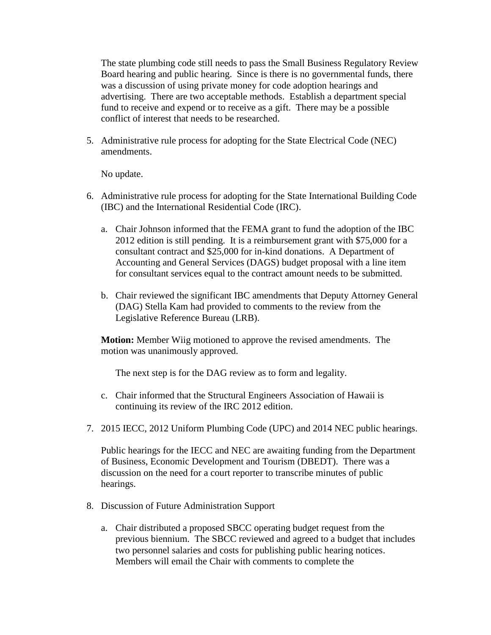The state plumbing code still needs to pass the Small Business Regulatory Review Board hearing and public hearing. Since is there is no governmental funds, there was a discussion of using private money for code adoption hearings and advertising. There are two acceptable methods. Establish a department special fund to receive and expend or to receive as a gift. There may be a possible conflict of interest that needs to be researched.

5. Administrative rule process for adopting for the State Electrical Code (NEC) amendments.

No update.

- 6. Administrative rule process for adopting for the State International Building Code (IBC) and the International Residential Code (IRC).
	- a. Chair Johnson informed that the FEMA grant to fund the adoption of the IBC 2012 edition is still pending. It is a reimbursement grant with \$75,000 for a consultant contract and \$25,000 for in-kind donations. A Department of Accounting and General Services (DAGS) budget proposal with a line item for consultant services equal to the contract amount needs to be submitted.
	- b. Chair reviewed the significant IBC amendments that Deputy Attorney General (DAG) Stella Kam had provided to comments to the review from the Legislative Reference Bureau (LRB).

**Motion:** Member Wiig motioned to approve the revised amendments. The motion was unanimously approved.

The next step is for the DAG review as to form and legality.

- c. Chair informed that the Structural Engineers Association of Hawaii is continuing its review of the IRC 2012 edition.
- 7. 2015 IECC, 2012 Uniform Plumbing Code (UPC) and 2014 NEC public hearings.

Public hearings for the IECC and NEC are awaiting funding from the Department of Business, Economic Development and Tourism (DBEDT). There was a discussion on the need for a court reporter to transcribe minutes of public hearings.

- 8. Discussion of Future Administration Support
	- a. Chair distributed a proposed SBCC operating budget request from the previous biennium. The SBCC reviewed and agreed to a budget that includes two personnel salaries and costs for publishing public hearing notices. Members will email the Chair with comments to complete the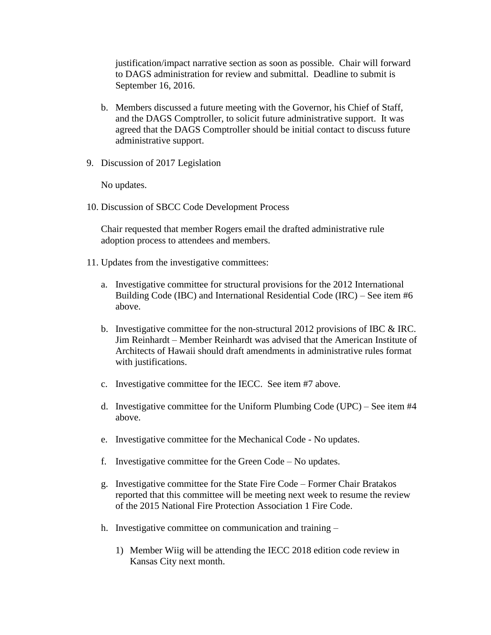justification/impact narrative section as soon as possible. Chair will forward to DAGS administration for review and submittal. Deadline to submit is September 16, 2016.

- b. Members discussed a future meeting with the Governor, his Chief of Staff, and the DAGS Comptroller, to solicit future administrative support. It was agreed that the DAGS Comptroller should be initial contact to discuss future administrative support.
- 9. Discussion of 2017 Legislation

No updates.

10. Discussion of SBCC Code Development Process

Chair requested that member Rogers email the drafted administrative rule adoption process to attendees and members.

- 11. Updates from the investigative committees:
	- a. Investigative committee for structural provisions for the 2012 International Building Code (IBC) and International Residential Code (IRC) – See item #6 above.
	- b. Investigative committee for the non-structural 2012 provisions of IBC  $\&$  IRC. Jim Reinhardt – Member Reinhardt was advised that the American Institute of Architects of Hawaii should draft amendments in administrative rules format with justifications.
	- c. Investigative committee for the IECC. See item #7 above.
	- d. Investigative committee for the Uniform Plumbing Code (UPC) See item #4 above.
	- e. Investigative committee for the Mechanical Code No updates.
	- f. Investigative committee for the Green Code No updates.
	- g. Investigative committee for the State Fire Code Former Chair Bratakos reported that this committee will be meeting next week to resume the review of the 2015 National Fire Protection Association 1 Fire Code.
	- h. Investigative committee on communication and training
		- 1) Member Wiig will be attending the IECC 2018 edition code review in Kansas City next month.